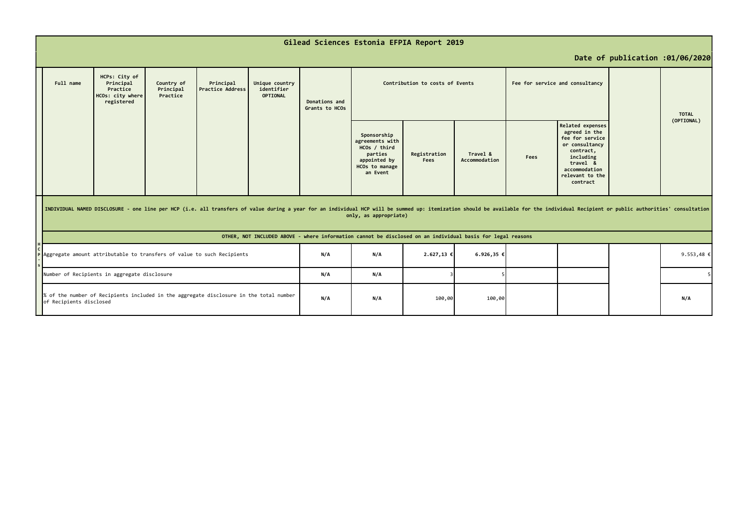|  | Gilead Sciences Estonia EFPIA Report 2019                                                                                                                                                                                                                                                                                                                             |                                                                          |                                     |                                      |                                                 |                                 |                                                                                                         |                      |                           |      |                                                                                                                                                              |                            |  |
|--|-----------------------------------------------------------------------------------------------------------------------------------------------------------------------------------------------------------------------------------------------------------------------------------------------------------------------------------------------------------------------|--------------------------------------------------------------------------|-------------------------------------|--------------------------------------|-------------------------------------------------|---------------------------------|---------------------------------------------------------------------------------------------------------|----------------------|---------------------------|------|--------------------------------------------------------------------------------------------------------------------------------------------------------------|----------------------------|--|
|  | Date of publication :01/06/2020                                                                                                                                                                                                                                                                                                                                       |                                                                          |                                     |                                      |                                                 |                                 |                                                                                                         |                      |                           |      |                                                                                                                                                              |                            |  |
|  | Full name                                                                                                                                                                                                                                                                                                                                                             | HCPs: City of<br>Principal<br>Practice<br>HCOs: city where<br>registered | Country of<br>Principal<br>Practice | Principal<br><b>Practice Address</b> | Unique country<br>identifier<br><b>OPTIONAL</b> | Donations and<br>Grants to HCOs | Contribution to costs of Events<br>Fee for service and consultancy                                      |                      |                           |      |                                                                                                                                                              | <b>TOTAL</b><br>(OPTIONAL) |  |
|  |                                                                                                                                                                                                                                                                                                                                                                       |                                                                          |                                     |                                      |                                                 |                                 | Sponsorship<br>agreements with<br>HCOs / third<br>parties<br>appointed by<br>HCOs to manage<br>an Event | Registration<br>Fees | Travel &<br>Accommodation | Fees | Related expenses<br>agreed in the<br>fee for service<br>or consultancy<br>contract,<br>including<br>travel &<br>accommodation<br>relevant to the<br>contract |                            |  |
|  | INDIVIDUAL NAMED DISCLOSURE - one line per HCP (i.e. all transfers of value during a year for an individual HCP will be summed up: itemization should be available for the individual Recipient or public authorities' consult<br>only, as appropriate)<br>OTHER, NOT INCLUDED ABOVE - where information cannot be disclosed on an individual basis for legal reasons |                                                                          |                                     |                                      |                                                 |                                 |                                                                                                         |                      |                           |      |                                                                                                                                                              |                            |  |
|  |                                                                                                                                                                                                                                                                                                                                                                       |                                                                          |                                     |                                      |                                                 |                                 |                                                                                                         |                      |                           |      |                                                                                                                                                              |                            |  |
|  | Aggregate amount attributable to transfers of value to such Recipients                                                                                                                                                                                                                                                                                                |                                                                          |                                     |                                      | N/A                                             | N/A                             | 2.627,13 €                                                                                              | $6.926, 35 \in$      |                           |      |                                                                                                                                                              | 9.553,48 €                 |  |
|  | Number of Recipients in aggregate disclosure<br>% of the number of Recipients included in the aggregate disclosure in the total number<br>of Recipients disclosed                                                                                                                                                                                                     |                                                                          |                                     |                                      | N/A                                             | N/A                             |                                                                                                         |                      |                           |      |                                                                                                                                                              |                            |  |
|  |                                                                                                                                                                                                                                                                                                                                                                       |                                                                          |                                     |                                      | N/A                                             | N/A                             | 100,00                                                                                                  | 100,00               |                           |      |                                                                                                                                                              | N/A                        |  |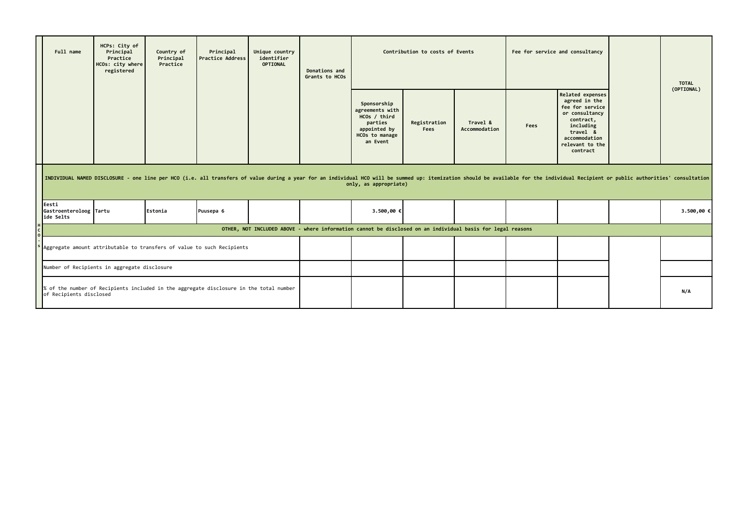|                                                                                                                                                                                                                                                         | Full name                                    | HCPs: City of<br>Principal<br>Practice<br>HCOs: city where<br>registered | Country of<br>Principal<br>Practice | Principal<br><b>Practice Address</b>                                   | Unique country<br>identifier<br><b>OPTIONAL</b> | Donations and<br>Grants to HCOs | Contribution to costs of Events                                                                         |                      |                           |      | Fee for service and consultancy                                                                                                                                     |     | <b>TOTAL</b> |
|---------------------------------------------------------------------------------------------------------------------------------------------------------------------------------------------------------------------------------------------------------|----------------------------------------------|--------------------------------------------------------------------------|-------------------------------------|------------------------------------------------------------------------|-------------------------------------------------|---------------------------------|---------------------------------------------------------------------------------------------------------|----------------------|---------------------------|------|---------------------------------------------------------------------------------------------------------------------------------------------------------------------|-----|--------------|
|                                                                                                                                                                                                                                                         |                                              |                                                                          |                                     |                                                                        |                                                 |                                 | Sponsorship<br>agreements with<br>HCOs / third<br>parties<br>appointed by<br>HCOs to manage<br>an Event | Registration<br>Fees | Travel &<br>Accommodation | Fees | <b>Related expenses</b><br>agreed in the<br>fee for service<br>or consultancy<br>contract,<br>including<br>travel &<br>accommodation<br>relevant to the<br>contract |     | (OPTIONAL)   |
| INDIVIDUAL NAMED DISCLOSURE - one line per HCO (i.e. all transfers of value during a year for an individual HCO will be summed up: itemization should be available for the individual Recipient or public authorities' consult<br>only, as appropriate) |                                              |                                                                          |                                     |                                                                        |                                                 |                                 |                                                                                                         |                      |                           |      |                                                                                                                                                                     |     |              |
|                                                                                                                                                                                                                                                         | Eesti<br>Gastroenteroloog Tartu<br>ide Selts |                                                                          | Estonia                             | Puusepa 6                                                              |                                                 |                                 | 3.500,00 €                                                                                              |                      |                           |      |                                                                                                                                                                     |     | 3.500,00 €   |
| OTHER, NOT INCLUDED ABOVE - where information cannot be disclosed on an individual basis for legal reasons                                                                                                                                              |                                              |                                                                          |                                     |                                                                        |                                                 |                                 |                                                                                                         |                      |                           |      |                                                                                                                                                                     |     |              |
|                                                                                                                                                                                                                                                         |                                              |                                                                          |                                     | Aggregate amount attributable to transfers of value to such Recipients |                                                 |                                 |                                                                                                         |                      |                           |      |                                                                                                                                                                     |     |              |
|                                                                                                                                                                                                                                                         | Number of Recipients in aggregate disclosure |                                                                          |                                     |                                                                        |                                                 |                                 |                                                                                                         |                      |                           |      |                                                                                                                                                                     |     |              |
| % of the number of Recipients included in the aggregate disclosure in the total number<br>of Recipients disclosed                                                                                                                                       |                                              |                                                                          |                                     |                                                                        |                                                 |                                 |                                                                                                         |                      |                           |      |                                                                                                                                                                     | N/A |              |